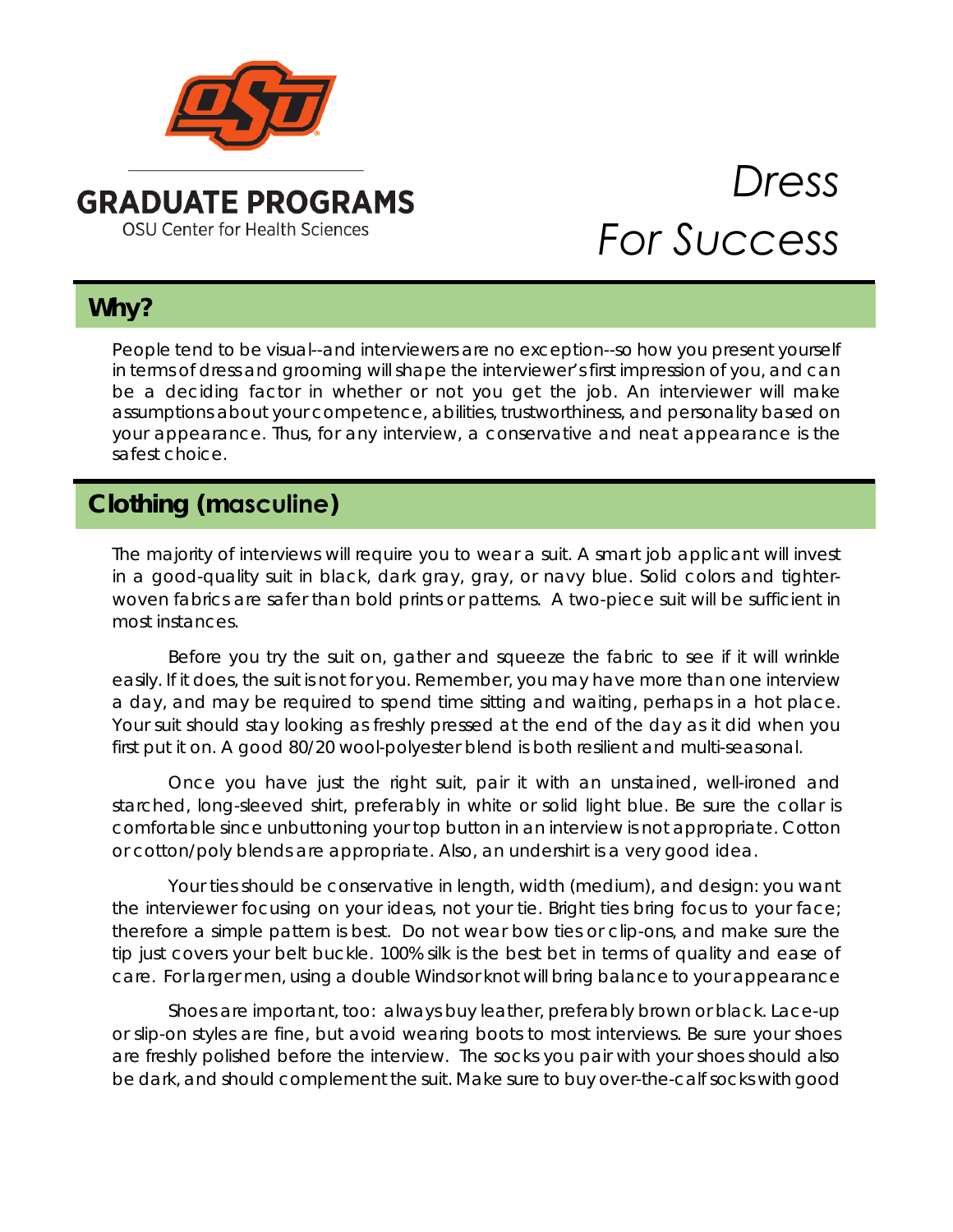

### **GRADUATE PROGRAMS OSU Center for Health Sciences**

# *Dress For Success*

# **Why?**

People tend to be visual--and interviewers are no exception--so how you present yourself in terms of dress and grooming will shape the interviewer's first impression of you, and can be a deciding factor in whether or not you get the job. An interviewer will make assumptions about your competence, abilities, trustworthiness, and personality based on your appearance. Thus, for any interview, a conservative and neat appearance is the safest choice.

# **Clothing (masculine)**

The majority of interviews will require you to wear a suit. A smart job applicant will invest in a good-quality suit in black, dark gray, gray, or navy blue. Solid colors and tighterwoven fabrics are safer than bold prints or patterns. A two-piece suit will be sufficient in most instances.

Before you try the suit on, gather and squeeze the fabric to see if it will wrinkle easily. If it does, the suit is not for you. Remember, you may have more than one interview a day, and may be required to spend time sitting and waiting, perhaps in a hot place. Your suit should stay looking as freshly pressed at the end of the day as it did when you first put it on. A good 80/20 wool-polyester blend is both resilient and multi-seasonal.

Once you have just the right suit, pair it with an unstained, well-ironed and starched, long-sleeved shirt, preferably in white or solid light blue. Be sure the collar is comfortable since unbuttoning your top button in an interview is not appropriate. Cotton or cotton/poly blends are appropriate. Also, an undershirt is a very good idea.

Your ties should be conservative in length, width (medium), and design: you want the interviewer focusing on your ideas, not your tie. Bright ties bring focus to your face; therefore a simple pattern is best. Do not wear bow ties or clip-ons, and make sure the tip just covers your belt buckle. 100% silk is the best bet in terms of quality and ease of care. For larger men, using a double Windsor knot will bring balance to your appearance

Shoes are important, too: always buy leather, preferably brown or black. Lace-up or slip-on styles are fine, but avoid wearing boots to most interviews. Be sure your shoes are freshly polished before the interview. The socks you pair with your shoes should also be dark, and should complement the suit. Make sure to buy over-the-calf socks with good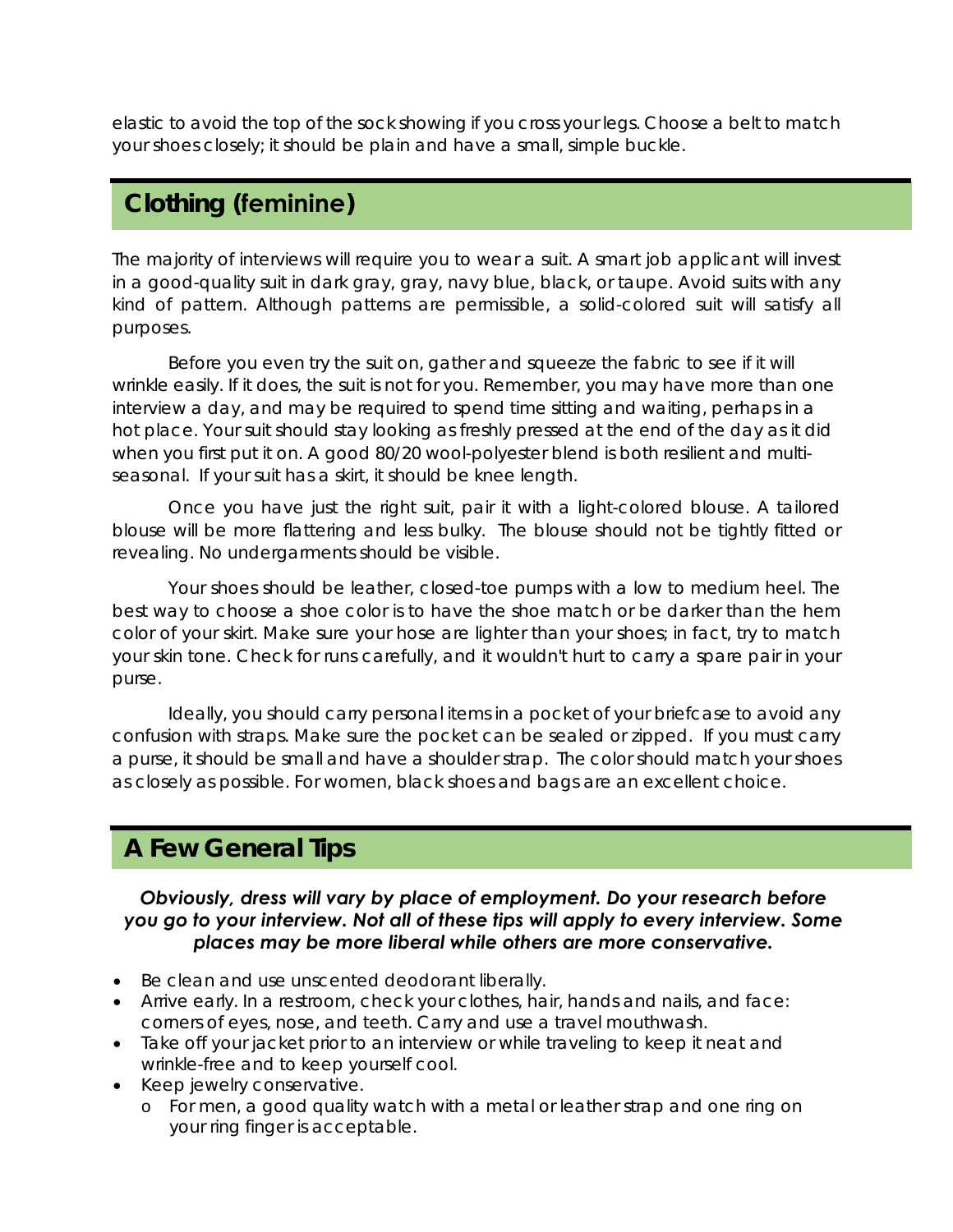elastic to avoid the top of the sock showing if you cross your legs. Choose a belt to match your shoes closely; it should be plain and have a small, simple buckle.

## **Clothing (feminine)**

The majority of interviews will require you to wear a suit. A smart job applicant will invest in a good-quality suit in dark gray, gray, navy blue, black, or taupe. Avoid suits with any kind of pattern. Although patterns are permissible, a solid-colored suit will satisfy all purposes.

Before you even try the suit on, gather and squeeze the fabric to see if it will wrinkle easily. If it does, the suit is not for you. Remember, you may have more than one interview a day, and may be required to spend time sitting and waiting, perhaps in a hot place. Your suit should stay looking as freshly pressed at the end of the day as it did when you first put it on. A good 80/20 wool-polyester blend is both resilient and multiseasonal. If your suit has a skirt, it should be knee length.

Once you have just the right suit, pair it with a light-colored blouse. A tailored blouse will be more flattering and less bulky. The blouse should not be tightly fitted or revealing. No undergarments should be visible.

Your shoes should be leather, closed-toe pumps with a low to medium heel. The best way to choose a shoe color is to have the shoe match or be darker than the hem color of your skirt. Make sure your hose are lighter than your shoes; in fact, try to match your skin tone. Check for runs carefully, and it wouldn't hurt to carry a spare pair in your purse.

Ideally, you should carry personal items in a pocket of your briefcase to avoid any confusion with straps. Make sure the pocket can be sealed or zipped. If you must carry a purse, it should be small and have a shoulder strap. The color should match your shoes as closely as possible. For women, black shoes and bags are an excellent choice.

## **A Few General Tips**

#### *Obviously, dress will vary by place of employment. Do your research before you go to your interview. Not all of these tips will apply to every interview. Some places may be more liberal while others are more conservative.*

- Be clean and use unscented deodorant liberally.
- Arrive early. In a restroom, check your clothes, hair, hands and nails, and face: corners of eyes, nose, and teeth. Carry and use a travel mouthwash.
- Take off your jacket prior to an interview or while traveling to keep it neat and wrinkle-free and to keep yourself cool.
- Keep jewelry conservative.
	- o For men, a good quality watch with a metal or leather strap and one ring on your ring finger is acceptable.